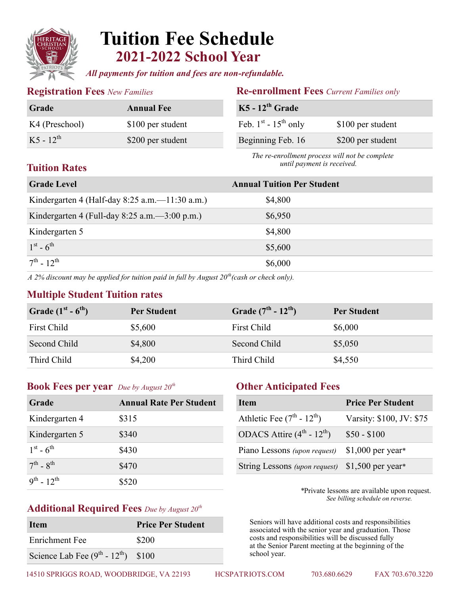

# **Tuition Fee Schedule 2021-2022 School Year**

*All payments for tuition and fees are non-refundable.*

| <b>Grade</b>   | <b>Annual Fee</b> |
|----------------|-------------------|
| K4 (Preschool) | \$100 per student |
| $K5 - 12^{th}$ | \$200 per student |

### **Registration Fees** *New Families* **Re-enrollment Fees** *Current Families only*

| $K5 - 12th$ Grade              |                   |
|--------------------------------|-------------------|
| Feb. $1^{st}$ - $15^{th}$ only | \$100 per student |
| Beginning Feb. 16              | \$200 per student |

 *The re-enrollment process will not be complete until payment is received.*

# **Tuition Rates**

| <b>Grade Level</b>                                | <b>Annual Tuition Per Student</b> |  |
|---------------------------------------------------|-----------------------------------|--|
| Kindergarten 4 (Half-day 8:25 a.m.— $11:30$ a.m.) | \$4,800                           |  |
| Kindergarten 4 (Full-day 8:25 a.m. $-3:00$ p.m.)  | \$6,950                           |  |
| Kindergarten 5                                    | \$4,800                           |  |
| $1^{st} - 6^{th}$                                 | \$5,600                           |  |
| $7^{\text{th}} - 12^{\text{th}}$                  | \$6,000                           |  |
|                                                   |                                   |  |

*A 2% discount may be applied for tuition paid in full by August 20th(cash or check only).*

### **Multiple Student Tuition rates**

| Grade $(1st - 6th)$ | <b>Per Student</b> | Grade $(7^{th} - 12^{th})$ | <b>Per Student</b> |
|---------------------|--------------------|----------------------------|--------------------|
| <b>First Child</b>  | \$5,600            | First Child                | \$6,000            |
| Second Child        | \$4,800            | Second Child               | \$5,050            |
| Third Child         | \$4,200            | Third Child                | \$4,550            |

## **Book Fees per year** *Due by August 20th* **Other Anticipated Fees**

| Grade                             | <b>Annual Rate Per Student</b> |
|-----------------------------------|--------------------------------|
| Kindergarten 4                    | \$315                          |
| Kindergarten 5                    | \$340                          |
| $1^{st} - 6^{th}$                 | \$430                          |
| $7^{\text{th}}$ - $8^{\text{th}}$ | \$470                          |
| $9^{th}$ - 12 <sup>th</sup>       | \$520                          |

# **Additional Required Fees** *Due by August 20th*

| <b>Item</b>                          | <b>Price Per Student</b> |
|--------------------------------------|--------------------------|
| Enrichment Fee                       | \$200                    |
| Science Lab Fee $(9th - 12th)$ \$100 |                          |

| <b>Item</b>                   | <b>Price Per Student</b> |
|-------------------------------|--------------------------|
| Athletic Fee $(7th - 12th)$   | Varsity: \$100, JV: \$75 |
| ODACS Attire $(4th - 12th)$   | $$50 - $100$             |
| Piano Lessons (upon request)  | $$1,000$ per year*       |
| String Lessons (upon request) | $$1,500$ per year*       |

 *\**Private lessons are available upon request. *See billing schedule on reverse.* 

 Seniors will have additional costs and responsibilities associated with the senior year and graduation. Those costs and responsibilities will be discussed fully at the Senior Parent meeting at the beginning of the school year.

14510 SPRIGGS ROAD, WOODBRIDGE, VA 22193 HCSPATRIOTS.COM 703.680.6629 FAX 703.670.3220